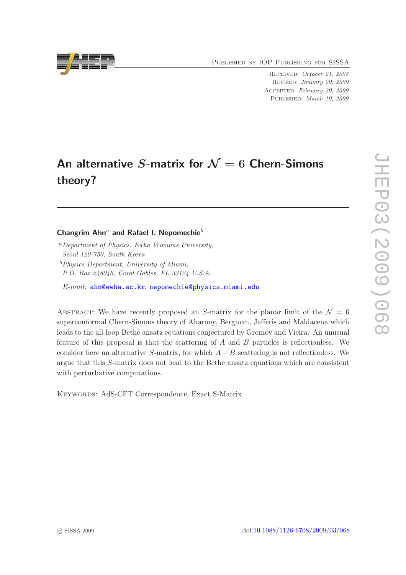Published by IOP Publishing for SISSA

Received: October 21, 2008 Revised: January 29, 2009 Accepted: February 20, 2009 PUBLISHED: March 10, 2009

# An alternative S-matrix for  $\mathcal{N}=6$  Chern-Simons theory?

## Changrim Ahn<sup>a</sup> and Rafael I. Nepomechie<sup>b</sup>

- <sup>a</sup>Department of Physics, Ewha Womans University, Seoul 120-750, South Korea
- $<sup>b</sup> Physics Department, University of Miami,$ </sup> P.O. Box 248046, Coral Gables, FL 33124 U.S.A.
- E-mail: [ahn@ewha.ac.kr](mailto:ahn@ewha.ac.kr), [nepomechie@physics.miami.edu](mailto:nepomechie@physics.miami.edu)

ABSTRACT: We have recently proposed an S-matrix for the planar limit of the  $\mathcal{N} = 6$ superconformal Chern-Simons theory of Aharony, Bergman, Jafferis and Maldacena which leads to the all-loop Bethe ansatz equations conjectured by Gromov and Vieira. An unusual feature of this proposal is that the scattering of A and B particles is reflectionless. We consider here an alternative S-matrix, for which  $A - B$  scattering is not reflectionless. We argue that this S-matrix does not lead to the Bethe ansatz equations which are consistent with perturbative computations.

Keywords: AdS-CFT Correspondence, Exact S-Matrix

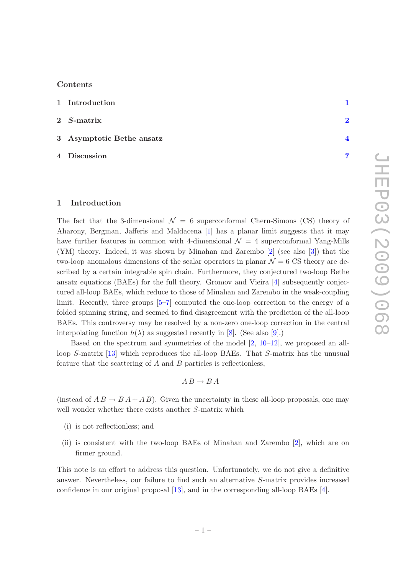#### Contents

| 1 Introduction            |                        |
|---------------------------|------------------------|
| $2$ <i>S</i> -matrix      | $\mathcal{D}$          |
| 3 Asymptotic Bethe ansatz | $\boldsymbol{\Lambda}$ |
| 4 Discussion              | 7                      |

#### <span id="page-1-0"></span>1 Introduction

The fact that the 3-dimensional  $\mathcal{N} = 6$  superconformal Chern-Simons (CS) theory of Aharony, Bergman, Jafferis and Maldacena [\[1](#page-8-0)] has a planar limit suggests that it may have further features in common with 4-dimensional  $\mathcal{N} = 4$  superconformal Yang-Mills (YM) theory. Indeed, it was shown by Minahan and Zarembo [\[2\]](#page-8-1) (see also [\[3\]](#page-8-2)) that the two-loop anomalous dimensions of the scalar operators in planar  $\mathcal{N} = 6$  CS theory are described by a certain integrable spin chain. Furthermore, they conjectured two-loop Bethe ansatz equations (BAEs) for the full theory. Gromov and Vieira [\[4\]](#page-8-3) subsequently conjectured all-loop BAEs, which reduce to those of Minahan and Zarembo in the weak-coupling limit. Recently, three groups [\[5](#page-8-4)[–7\]](#page-8-5) computed the one-loop correction to the energy of a folded spinning string, and seemed to find disagreement with the prediction of the all-loop BAEs. This controversy may be resolved by a non-zero one-loop correction in the central interpolating function  $h(\lambda)$  as suggested recently in [\[8\]](#page-8-6). (See also [\[9\]](#page-8-7).)

Based on the spectrum and symmetries of the model  $[2, 10-12]$  $[2, 10-12]$  $[2, 10-12]$ , we proposed an allloop S-matrix [\[13\]](#page-8-10) which reproduces the all-loop BAEs. That S-matrix has the unusual feature that the scattering of  $A$  and  $B$  particles is reflectionless,

$$
A B \to B A
$$

(instead of  $AB \rightarrow BA + AB$ ). Given the uncertainty in these all-loop proposals, one may well wonder whether there exists another S-matrix which

- (i) is not reflectionless; and
- (ii) is consistent with the two-loop BAEs of Minahan and Zarembo [\[2](#page-8-1)], which are on firmer ground.

This note is an effort to address this question. Unfortunately, we do not give a definitive answer. Nevertheless, our failure to find such an alternative S-matrix provides increased confidence in our original proposal [\[13](#page-8-10)], and in the corresponding all-loop BAEs [\[4](#page-8-3)].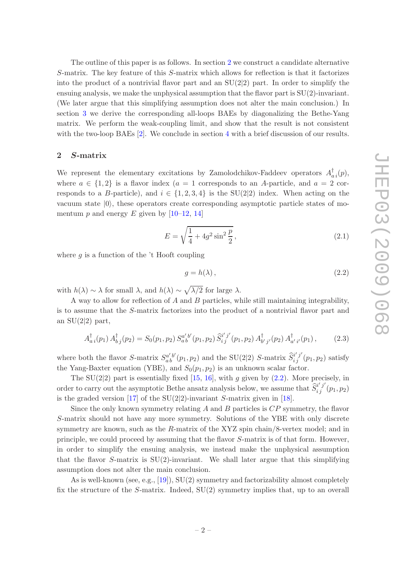The outline of this paper is as follows. In section [2](#page-2-0) we construct a candidate alternative S-matrix. The key feature of this S-matrix which allows for reflection is that it factorizes into the product of a nontrivial flavor part and an  $SU(2|2)$  part. In order to simplify the ensuing analysis, we make the unphysical assumption that the flavor part is  $SU(2)$ -invariant. (We later argue that this simplifying assumption does not alter the main conclusion.) In section [3](#page-4-0) we derive the corresponding all-loops BAEs by diagonalizing the Bethe-Yang matrix. We perform the weak-coupling limit, and show that the result is not consistent with the two-loop BAEs [\[2](#page-8-1)]. We conclude in section [4](#page-7-0) with a brief discussion of our results.

#### <span id="page-2-0"></span>2 S-matrix

We represent the elementary excitations by Zamolodchikov-Faddeev operators  $A_{a i}^{\dagger}(p)$ , where  $a \in \{1,2\}$  is a flavor index  $(a = 1$  corresponds to an A-particle, and  $a = 2$  corresponds to a B-particle), and  $i \in \{1, 2, 3, 4\}$  is the SU(2|2) index. When acting on the vacuum state  $|0\rangle$ , these operators create corresponding asymptotic particle states of momentum  $p$  and energy  $E$  given by [\[10](#page-8-8)[–12](#page-8-9), [14](#page-9-0)]

$$
E = \sqrt{\frac{1}{4} + 4g^2 \sin^2 \frac{p}{2}},
$$
\n(2.1)

where  $q$  is a function of the 't Hooft coupling

<span id="page-2-1"></span>
$$
g = h(\lambda), \tag{2.2}
$$

with  $h(\lambda) \sim \lambda$  for small  $\lambda$ , and  $h(\lambda) \sim \sqrt{\lambda/2}$  for large  $\lambda$ .

A way to allow for reflection of A and B particles, while still maintaining integrability, is to assume that the S-matrix factorizes into the product of a nontrivial flavor part and an  $SU(2|2)$  part,

<span id="page-2-2"></span>
$$
A_{a i}^{\dagger}(p_1) A_{b j}^{\dagger}(p_2) = S_0(p_1, p_2) S_a^{a' b'}(p_1, p_2) \, \widehat{S}_{i j}^{i' j'}(p_1, p_2) A_{b' j'}^{\dagger}(p_2) A_{a' i'}^{\dagger}(p_1) \,, \tag{2.3}
$$

where both the flavor S-matrix  $S_{ab}^{a'b'}(p_1, p_2)$  and the SU(2|2) S-matrix  $\hat{S}_{i\,j}^{i'j'}(p_1, p_2)$  satisfy the Yang-Baxter equation (YBE), and  $S_0(p_1, p_2)$  is an unknown scalar factor.

The  $SU(2|2)$  part is essentially fixed [\[15](#page-9-1), [16\]](#page-9-2), with g given by  $(2.2)$ . More precisely, in order to carry out the asymptotic Bethe ansatz analysis below, we assume that  $\widehat{S}^{i'j'}_{ij}(p_1, p_2)$ is the graded version [\[17\]](#page-9-3) of the  $SU(2|2)$ -invariant S-matrix given in [\[18](#page-9-4)].

Since the only known symmetry relating  $A$  and  $B$  particles is  $CP$  symmetry, the flavor S-matrix should not have any more symmetry. Solutions of the YBE with only discrete symmetry are known, such as the R-matrix of the XYZ spin chain/8-vertex model; and in principle, we could proceed by assuming that the flavor S-matrix is of that form. However, in order to simplify the ensuing analysis, we instead make the unphysical assumption that the flavor S-matrix is  $SU(2)$ -invariant. We shall later argue that this simplifying assumption does not alter the main conclusion.

As is well-known (see, e.g., [\[19](#page-9-5)]), SU(2) symmetry and factorizability almost completely fix the structure of the S-matrix. Indeed, SU(2) symmetry implies that, up to an overall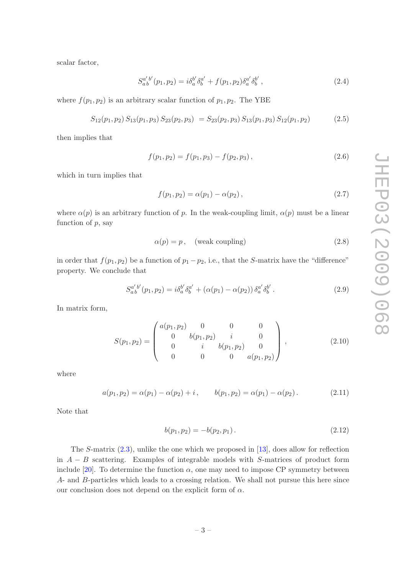scalar factor,

$$
S_{a b}^{a' b'}(p_1, p_2) = i \delta_a^{b'} \delta_b^{a'} + f(p_1, p_2) \delta_a^{a'} \delta_b^{b'}, \qquad (2.4)
$$

where  $f(p_1, p_2)$  is an arbitrary scalar function of  $p_1, p_2$ . The YBE

$$
S_{12}(p_1, p_2) S_{13}(p_1, p_3) S_{23}(p_2, p_3) = S_{23}(p_2, p_3) S_{13}(p_1, p_3) S_{12}(p_1, p_2)
$$
 (2.5)

then implies that

$$
f(p_1, p_2) = f(p_1, p_3) - f(p_2, p_3), \qquad (2.6)
$$

which in turn implies that

$$
f(p_1, p_2) = \alpha(p_1) - \alpha(p_2), \qquad (2.7)
$$

where  $\alpha(p)$  is an arbitrary function of p. In the weak-coupling limit,  $\alpha(p)$  must be a linear function of  $p$ , say

<span id="page-3-2"></span>
$$
\alpha(p) = p, \quad \text{(weak coupling)}\tag{2.8}
$$

in order that  $f(p_1, p_2)$  be a function of  $p_1 - p_2$ , i.e., that the S-matrix have the "difference" property. We conclude that

<span id="page-3-1"></span>
$$
S_{ab}^{a'b'}(p_1, p_2) = i\delta_a^{b'}\delta_b^{a'} + (\alpha(p_1) - \alpha(p_2))\delta_a^{a'}\delta_b^{b'}.
$$
 (2.9)

In matrix form,

$$
S(p_1, p_2) = \begin{pmatrix} a(p_1, p_2) & 0 & 0 & 0 \\ 0 & b(p_1, p_2) & i & 0 \\ 0 & i & b(p_1, p_2) & 0 \\ 0 & 0 & 0 & a(p_1, p_2) \end{pmatrix},
$$
(2.10)

where

$$
a(p_1, p_2) = \alpha(p_1) - \alpha(p_2) + i, \qquad b(p_1, p_2) = \alpha(p_1) - \alpha(p_2).
$$
 (2.11)

Note that

<span id="page-3-0"></span>
$$
b(p_1, p_2) = -b(p_2, p_1). \tag{2.12}
$$

The S-matrix  $(2.3)$ , unlike the one which we proposed in [\[13](#page-8-10)], does allow for reflection in  $A - B$  scattering. Examples of integrable models with S-matrices of product form include [\[20](#page-9-6)]. To determine the function  $\alpha$ , one may need to impose CP symmetry between A- and B-particles which leads to a crossing relation. We shall not pursue this here since our conclusion does not depend on the explicit form of  $\alpha$ .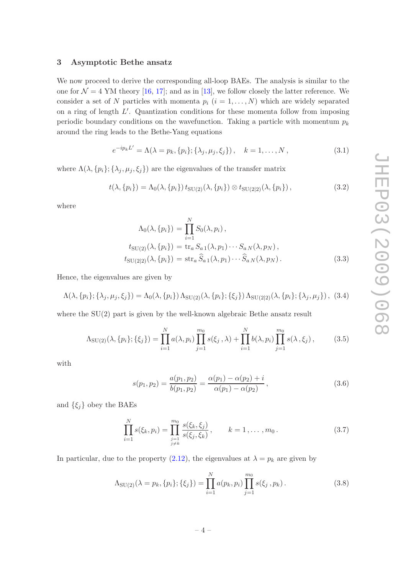#### <span id="page-4-0"></span>3 Asymptotic Bethe ansatz

We now proceed to derive the corresponding all-loop BAEs. The analysis is similar to the one for  $\mathcal{N} = 4$  YM theory [\[16](#page-9-2), [17](#page-9-3)]; and as in [\[13\]](#page-8-10), we follow closely the latter reference. We consider a set of N particles with momenta  $p_i$   $(i = 1, ..., N)$  which are widely separated on a ring of length  $L'$ . Quantization conditions for these momenta follow from imposing periodic boundary conditions on the wavefunction. Taking a particle with momentum  $p_k$ around the ring leads to the Bethe-Yang equations

<span id="page-4-2"></span>
$$
e^{-ip_kL'} = \Lambda(\lambda = p_k, \{p_i\}; \{\lambda_j, \mu_j, \xi_j\}), \quad k = 1, ..., N,
$$
\n(3.1)

where  $\Lambda(\lambda, \{p_i\}; {\lambda_j, \mu_j, \xi_j\})$  are the eigenvalues of the transfer matrix

$$
t(\lambda, \{p_i\}) = \Lambda_0(\lambda, \{p_i\}) t_{\text{SU}(2)}(\lambda, \{p_i\}) \otimes t_{\text{SU}(2|2)}(\lambda, \{p_i\}), \tag{3.2}
$$

where

$$
\Lambda_0(\lambda, \{p_i\}) = \prod_{i=1}^N S_0(\lambda, p_i),
$$
  
\n
$$
t_{\text{SU}(2)}(\lambda, \{p_i\}) = \text{tr}_a S_{a1}(\lambda, p_1) \cdots S_{aN}(\lambda, p_N),
$$
  
\n
$$
t_{\text{SU}(2|2)}(\lambda, \{p_i\}) = \text{str}_a \widehat{S}_{a1}(\lambda, p_1) \cdots \widehat{S}_{aN}(\lambda, p_N).
$$
\n(3.3)

Hence, the eigenvalues are given by

$$
\Lambda(\lambda, \{p_i\}; \{\lambda_j, \mu_j, \xi_j\}) = \Lambda_0(\lambda, \{p_i\}) \Lambda_{\text{SU}(2)}(\lambda, \{p_i\}; \{\xi_j\}) \Lambda_{\text{SU}(2|2)}(\lambda, \{p_i\}; \{\lambda_j, \mu_j\}), \tag{3.4}
$$

where the SU(2) part is given by the well-known algebraic Bethe ansatz result

$$
\Lambda_{\text{SU}(2)}(\lambda, \{p_i\}; \{\xi_j\}) = \prod_{i=1}^N a(\lambda, p_i) \prod_{j=1}^{m_0} s(\xi_j, \lambda) + \prod_{i=1}^N b(\lambda, p_i) \prod_{j=1}^{m_0} s(\lambda, \xi_j), \tag{3.5}
$$

with

$$
s(p_1, p_2) = \frac{a(p_1, p_2)}{b(p_1, p_2)} = \frac{\alpha(p_1) - \alpha(p_2) + i}{\alpha(p_1) - \alpha(p_2)},
$$
\n(3.6)

and  $\{\xi_j\}$  obey the BAEs

<span id="page-4-3"></span>
$$
\prod_{i=1}^{N} s(\xi_k, p_i) = \prod_{\substack{j=1 \ j \neq k}}^{m_0} \frac{s(\xi_k, \xi_j)}{s(\xi_j, \xi_k)}, \qquad k = 1, \dots, m_0.
$$
\n(3.7)

In particular, due to the property [\(2.12\)](#page-3-0), the eigenvalues at  $\lambda = p_k$  are given by

<span id="page-4-1"></span>
$$
\Lambda_{\text{SU}(2)}(\lambda = p_k, \{p_i\}; \{\xi_j\}) = \prod_{i=1}^N a(p_k, p_i) \prod_{j=1}^{m_0} s(\xi_j, p_k).
$$
\n(3.8)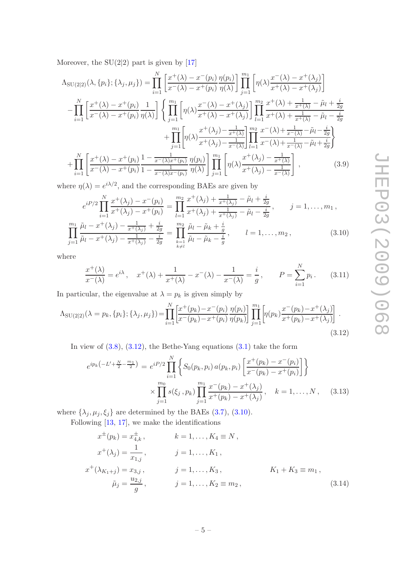Moreover, the  $SU(2|2)$  part is given by [\[17](#page-9-3)]

$$
\Lambda_{\text{SU}(2|2)}(\lambda, \{p_i\}; \{\lambda_j, \mu_j\}) = \prod_{i=1}^N \left[ \frac{x^+(\lambda) - x^-(p_i)}{x^-(\lambda) - x^+(p_i)} \frac{\eta(p_i)}{\eta(\lambda)} \right] \prod_{j=1}^{m_1} \left[ \eta(\lambda) \frac{x^-(\lambda) - x^+(\lambda_j)}{x^+(\lambda) - x^+(\lambda_j)} \right] \n- \prod_{i=1}^N \left[ \frac{x^+(\lambda) - x^+(p_i)}{x^-(\lambda) - x^+(p_i)} \frac{1}{\eta(\lambda)} \right] \left\{ \prod_{j=1}^{m_1} \left[ \eta(\lambda) \frac{x^-(\lambda) - x^+(\lambda_j)}{x^+(\lambda) - x^+(\lambda_j)} \right] \prod_{l=1}^{m_2} \frac{x^+(\lambda) + \frac{1}{x^+(\lambda)} - \tilde{\mu}_l + \frac{i}{2g}}{x^+(\lambda) + \frac{1}{x^+(\lambda)} - \tilde{\mu}_l - \frac{i}{2g}} \right. \right. \\
\left. + \prod_{j=1}^{m_1} \left[ \eta(\lambda) \frac{x^+(\lambda_j) - \frac{1}{x^+(\lambda)}}{x^+(\lambda_j) - \frac{1}{x^-(\lambda)}} \right] \prod_{l=1}^{m_2} \frac{x^-(\lambda) + \frac{1}{x^-(\lambda)} - \tilde{\mu}_l - \frac{i}{2g}}{x^-(\lambda) + \frac{1}{x^-(\lambda)} - \tilde{\mu}_l + \frac{i}{2g}} \right\} \n+ \prod_{i=1}^N \left[ \frac{x^+(\lambda) - x^+(p_i)}{x^-(\lambda) - x^+(p_i)} \frac{1 - \frac{1}{x^-(\lambda)x^+(p_i)}}{1 - \frac{1}{x^-(\lambda)x^-(p_i)}} \frac{\eta(p_i)}{\eta(\lambda)} \right] \prod_{j=1}^{m_1} \left[ \eta(\lambda) \frac{x^+(\lambda_j) - \frac{1}{x^+(\lambda)}}{x^+(\lambda_j) - \frac{1}{x^-(\lambda)}} \right], \quad (3.9)
$$

where  $\eta(\lambda) = e^{i\lambda/2}$ , and the corresponding BAEs are given by

<span id="page-5-1"></span>
$$
e^{iP/2} \prod_{i=1}^{N} \frac{x^+(\lambda_j) - x^-(p_i)}{x^+(\lambda_j) - x^+(p_i)} = \prod_{l=1}^{m_2} \frac{x^+(\lambda_j) + \frac{1}{x^+(\lambda_j)} - \tilde{\mu}_l + \frac{i}{2g}}{x^+(\lambda_j) + \frac{1}{x^+(\lambda_j)} - \tilde{\mu}_l - \frac{i}{2g}}, \qquad j = 1, \dots, m_1,
$$
  

$$
\prod_{j=1}^{m_1} \frac{\tilde{\mu}_l - x^+(\lambda_j) - \frac{1}{x^+(\lambda_j)} + \frac{i}{2g}}{x^+(\lambda_j) - \frac{1}{x^+(\lambda_j)} - \frac{i}{2g}} = \prod_{\substack{k=1 \ k \neq l}}^{m_2} \frac{\tilde{\mu}_l - \tilde{\mu}_k + \frac{i}{g}}{\tilde{\mu}_l - \tilde{\mu}_k - \frac{i}{g}}, \qquad l = 1, \dots, m_2,
$$
 (3.10)

where

$$
\frac{x^{+}(\lambda)}{x^{-}(\lambda)} = e^{i\lambda}, \quad x^{+}(\lambda) + \frac{1}{x^{+}(\lambda)} - x^{-}(\lambda) - \frac{1}{x^{-}(\lambda)} = \frac{i}{g}, \qquad P = \sum_{i=1}^{N} p_i.
$$
 (3.11)

In particular, the eigenvalue at  $\lambda = p_k$  is given simply by

<span id="page-5-0"></span>
$$
\Lambda_{\text{SU}(2|2)}(\lambda = p_k, \{p_i\}; \{\lambda_j, \mu_j\}) = \prod_{i=1}^N \left[ \frac{x^+(p_k) - x^-(p_i)}{x^-(p_k) - x^+(p_i)} \frac{\eta(p_i)}{\eta(p_k)} \right] \prod_{j=1}^{m_1} \left[ \eta(p_k) \frac{x^-(p_k) - x^+(\lambda_j)}{x^+(p_k) - x^+(\lambda_j)} \right] \,. \tag{3.12}
$$

In view of  $(3.8)$ ,  $(3.12)$ , the Bethe-Yang equations  $(3.1)$  take the form

<span id="page-5-2"></span>
$$
e^{ip_k(-L' + \frac{N}{2} - \frac{m_1}{2})} = e^{iP/2} \prod_{i=1}^{N} \left\{ S_0(p_k, p_i) a(p_k, p_i) \left[ \frac{x^+(p_k) - x^-(p_i)}{x^-(p_k) - x^+(p_i)} \right] \right\}
$$

$$
\times \prod_{j=1}^{m_0} s(\xi_j, p_k) \prod_{j=1}^{m_1} \frac{x^-(p_k) - x^+(\lambda_j)}{x^+(p_k) - x^+(\lambda_j)}, \quad k = 1, ..., N, \quad (3.13)
$$

where  $\{\lambda_j, \mu_j, \xi_j\}$  are determined by the BAEs [\(3.7\)](#page-4-3), [\(3.10\)](#page-5-1).

Following [\[13](#page-8-10), [17](#page-9-3)], we make the identifications

$$
x^{\pm}(p_k) = x^{\pm}_{4,k}, \qquad k = 1, ..., K_4 \equiv N,
$$
  
\n
$$
x^+(\lambda_j) = \frac{1}{x_{1,j}}, \qquad j = 1, ..., K_1,
$$
  
\n
$$
x^+(\lambda_{K_1+j}) = x_{3,j}, \qquad j = 1, ..., K_3, \qquad K_1 + K_3 \equiv m_1,
$$
  
\n
$$
\tilde{\mu}_j = \frac{u_{2,j}}{g}, \qquad j = 1, ..., K_2 \equiv m_2,
$$
\n(3.14)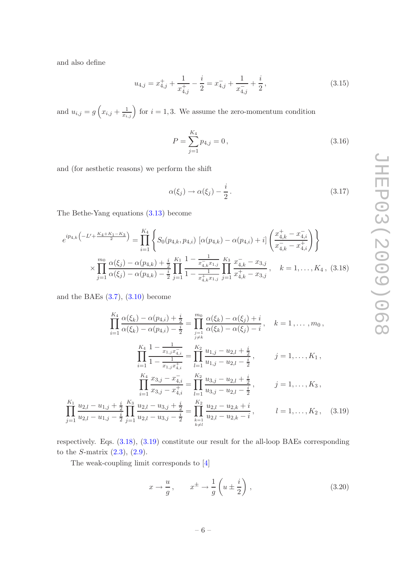and also define

$$
u_{4,j} = x_{4,j}^{+} + \frac{1}{x_{4,j}^{+}} - \frac{i}{2} = x_{4,j}^{-} + \frac{1}{x_{4,j}^{-}} + \frac{i}{2},
$$
\n(3.15)

and  $u_{i,j} = g\left(x_{i,j} + \frac{1}{x_{i,j}}\right)$  for  $i = 1, 3$ . We assume the zero-momentum condition

$$
P = \sum_{j=1}^{K_4} p_{4,j} = 0, \qquad (3.16)
$$

and (for aesthetic reasons) we perform the shift

$$
\alpha(\xi_j) \to \alpha(\xi_j) - \frac{i}{2} \,. \tag{3.17}
$$

The Bethe-Yang equations [\(3.13\)](#page-5-2) become

<span id="page-6-0"></span>
$$
e^{ip_{4,k}\left(-L' + \frac{K_4 + K_1 - K_3}{2}\right)} = \prod_{i=1}^{K_4} \left\{ S_0(p_{4,k}, p_{4,i}) \left[ \alpha(p_{4,k}) - \alpha(p_{4,i}) + i \right] \left( \frac{x_{4,k}^+ - x_{4,i}^-}{x_{4,k}^- - x_{4,i}^+} \right) \right\}
$$

$$
\times \prod_{j=1}^{m_0} \frac{\alpha(\xi_j) - \alpha(p_{4,k}) + \frac{i}{2}}{\alpha(\xi_j) - \alpha(p_{4,k}) - \frac{i}{2}} \prod_{j=1}^{K_1} \frac{1 - \frac{1}{x_{4,k}^+ x_{1,j}}}{1 - \frac{1}{x_{4,k}^+ x_{1,j}}} \prod_{j=1}^{K_3} \frac{x_{4,k}^- - x_{3,j}}{x_{4,k}^+ - x_{3,j}^-}, \quad k = 1, \dots, K_4, (3.18)
$$

and the BAEs  $(3.7)$ ,  $(3.10)$  become

$$
\prod_{i=1}^{K_4} \frac{\alpha(\xi_k) - \alpha(p_{4,i}) + \frac{i}{2}}{\alpha(\xi_k) - \alpha(p_{4,i}) - \frac{i}{2}} = \prod_{j=1}^{m_0} \frac{\alpha(\xi_k) - \alpha(\xi_j) + i}{\alpha(\xi_k) - \alpha(\xi_j) - i}, \quad k = 1, ..., m_0,
$$
\n
$$
\prod_{i=1}^{K_4} \frac{1 - \frac{1}{x_{1,j}x_{4,i}^+}}{1 - \frac{1}{x_{1,j}x_{4,i}^+}} = \prod_{l=1}^{K_2} \frac{u_{1,j} - u_{2,l} + \frac{i}{2}}{u_{1,j} - u_{2,l} - \frac{i}{2}}, \qquad j = 1, ..., K_1,
$$
\n
$$
\prod_{i=1}^{K_4} \frac{x_{3,j} - x_{4,i}^-}{x_{3,j} - x_{4,i}^+} = \prod_{l=1}^{K_2} \frac{u_{3,j} - u_{2,l} + \frac{i}{2}}{u_{3,j} - u_{2,l} - \frac{i}{2}}, \qquad j = 1, ..., K_3,
$$
\n
$$
\prod_{j=1}^{K_1} \frac{u_{2,l} - u_{1,j} + \frac{i}{2}}{u_{2,l} - u_{1,j} - \frac{i}{2}} = \prod_{k=1}^{K_3} \frac{u_{2,l} - u_{2,k} + i}{u_{2,l} - u_{2,k} - i}, \qquad l = 1, ..., K_2, \quad (3.19)
$$

respectively. Eqs. [\(3.18\)](#page-6-0), [\(3.19\)](#page-6-1) constitute our result for the all-loop BAEs corresponding to the *S*-matrix  $(2.3)$ ,  $(2.9)$ .

The weak-coupling limit corresponds to [\[4\]](#page-8-3)

<span id="page-6-1"></span>
$$
x \to \frac{u}{g}, \qquad x^{\pm} \to \frac{1}{g} \left( u \pm \frac{i}{2} \right) , \tag{3.20}
$$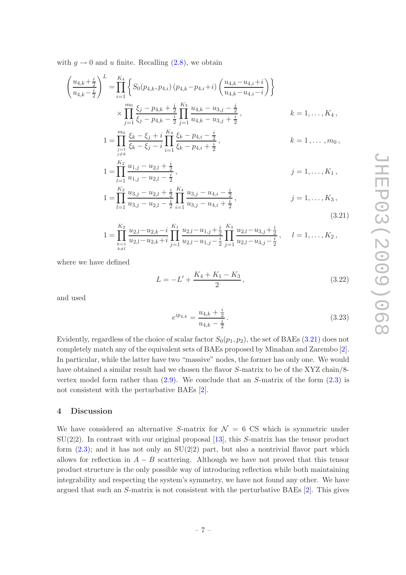with  $q \to 0$  and u finite. Recalling  $(2.8)$ , we obtain

$$
\left(\frac{u_{4,k}+\frac{i}{2}}{u_{4,k}-\frac{i}{2}}\right)^{L} = \prod_{i=1}^{K_4} \left\{ S_0(p_{4,k}, p_{4,i}) \left(p_{4,k}-p_{4,i}+i\right) \left(\frac{u_{4,k}-u_{4,i}+i}{u_{4,k}-u_{4,i}-i}\right) \right\}
$$
\n
$$
\times \prod_{j=1}^{m_0} \frac{\xi_j - p_{4,k} + \frac{i}{2}}{\xi_j - p_{4,k} - \frac{i}{2}} \prod_{j=1}^{K_3} \frac{u_{4,k} - u_{3,j} - \frac{i}{2}}{u_{4,k} - u_{3,j} + \frac{i}{2}}, \qquad k = 1, \dots, K_4,
$$
\n
$$
1 = \prod_{\substack{j=1 \ j \neq k}}^{m_0} \frac{\xi_k - \xi_j + i}{\xi_k - \xi_j - i} \prod_{i=1}^{K_4} \frac{\xi_k - p_{4,i} - \frac{i}{2}}{\xi_k - p_{4,i} + \frac{i}{2}}, \qquad k = 1, \dots, m_0,
$$
\n
$$
1 = \prod_{\substack{j=1 \ j \neq k}}^{K_2} \frac{u_{1,j} - u_{2,l} + \frac{i}{2}}{u_{1,i} - u_{2,l} - \frac{i}{2}}, \qquad j = 1, \dots, K_1,
$$

$$
l = \prod_{l=1}^{K_2} \frac{u_{3,j} - u_{2,l} + \frac{i}{2}}{u_{3,j} - u_{2,l} - \frac{i}{2}} \prod_{i=1}^{K_4} \frac{u_{3,j} - u_{4,i} - \frac{i}{2}}{u_{3,j} - u_{4,i} + \frac{i}{2}},
$$
  
\n
$$
j = 1, ..., K_3,
$$
  
\n(3.21)

$$
1 = \prod_{\substack{k=1 \ k \neq l}}^{K_2} \frac{u_{2,l} - u_{2,k} - i}{u_{2,l} - u_{2,k} + i} \prod_{j=1}^{K_1} \frac{u_{2,l} - u_{1,j} + \frac{i}{2}}{u_{2,l} - u_{1,j} - \frac{i}{2}} \prod_{j=1}^{K_3} \frac{u_{2,l} - u_{3,j} + \frac{i}{2}}{u_{2,l} - u_{3,j} - \frac{i}{2}}, \quad l = 1, \ldots, K_2,
$$

where we have defined

<span id="page-7-1"></span>
$$
L = -L' + \frac{K_4 + K_1 - K_3}{2},
$$
\n(3.22)

and used

$$
e^{ip_{4,k}} = \frac{u_{4,k} + \frac{i}{2}}{u_{4,k} - \frac{i}{2}}.
$$
\n(3.23)

Evidently, regardless of the choice of scalar factor  $S_0(p_1, p_2)$ , the set of BAEs [\(3.21\)](#page-7-1) does not completely match any of the equivalent sets of BAEs proposed by Minahan and Zarembo [\[2\]](#page-8-1). In particular, while the latter have two "massive" nodes, the former has only one. We would have obtained a similar result had we chosen the flavor S-matrix to be of the XYZ chain/8vertex model form rather than  $(2.9)$ . We conclude that an S-matrix of the form  $(2.3)$  is not consistent with the perturbative BAEs [\[2\]](#page-8-1).

#### <span id="page-7-0"></span>4 Discussion

We have considered an alternative S-matrix for  $\mathcal{N} = 6$  CS which is symmetric under  $SU(2|2)$ . In contrast with our original proposal [\[13\]](#page-8-10), this S-matrix has the tensor product form  $(2.3)$ ; and it has not only an  $SU(2|2)$  part, but also a nontrivial flavor part which allows for reflection in  $A - B$  scattering. Although we have not proved that this tensor product structure is the only possible way of introducing reflection while both maintaining integrability and respecting the system's symmetry, we have not found any other. We have argued that such an  $S$ -matrix is not consistent with the perturbative BAEs  $[2]$ . This gives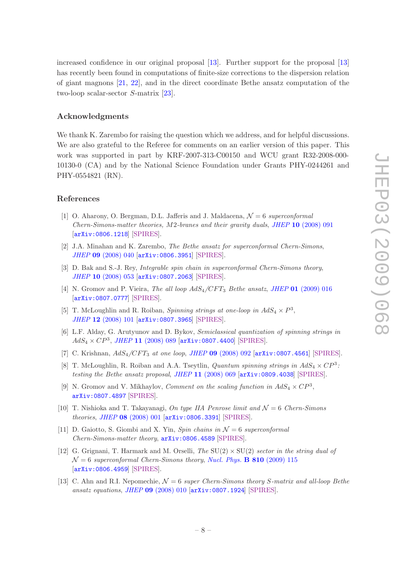increased confidence in our original proposal [\[13\]](#page-8-10). Further support for the proposal [\[13\]](#page-8-10) has recently been found in computations of finite-size corrections to the dispersion relation of giant magnons [\[21](#page-9-7), [22\]](#page-9-8), and in the direct coordinate Bethe ansatz computation of the two-loop scalar-sector S-matrix [\[23\]](#page-9-9).

### Acknowledgments

We thank K. Zarembo for raising the question which we address, and for helpful discussions. We are also grateful to the Referee for comments on an earlier version of this paper. This work was supported in part by KRF-2007-313-C00150 and WCU grant R32-2008-000- 10130-0 (CA) and by the National Science Foundation under Grants PHY-0244261 and PHY-0554821 (RN).

#### References

- <span id="page-8-0"></span>[1] O. Aharony, O. Bergman, D.L. Jafferis and J. Maldacena,  $\mathcal{N}=6$  superconformal Chern-Simons-matter theories, M2-branes and their gravity duals, JHEP 10 [\(2008\) 091](http://jhep.sissa.it/stdsearch?paper=10%282008%29091) [[arXiv:0806.1218](http://arxiv.org/abs/0806.1218)] [\[SPIRES\]](http://www-spires.slac.stanford.edu/spires/find/hep/www?eprint=0806.1218).
- <span id="page-8-1"></span>[2] J.A. Minahan and K. Zarembo, The Bethe ansatz for superconformal Chern-Simons, JHEP 09 [\(2008\) 040](http://jhep.sissa.it/stdsearch?paper=09%282008%29040) [[arXiv:0806.3951](http://arxiv.org/abs/0806.3951)] [\[SPIRES\]](http://www-spires.slac.stanford.edu/spires/find/hep/www?eprint=0806.3951).
- <span id="page-8-2"></span>[3] D. Bak and S.-J. Rey, *Integrable spin chain in superconformal Chern-Simons theory*, JHEP 10 [\(2008\) 053](http://jhep.sissa.it/stdsearch?paper=10%282008%29053) [[arXiv:0807.2063](http://arxiv.org/abs/0807.2063)] [\[SPIRES\]](http://www-spires.slac.stanford.edu/spires/find/hep/www?eprint=0807.2063).
- <span id="page-8-3"></span>[4] N. Gromov and P. Vieira, *The all loop*  $AdS_4/CFT_3$  *Bethe ansatz, JHEP* 01 [\(2009\) 016](http://jhep.sissa.it/stdsearch?paper=01%282009%29016) [[arXiv:0807.0777](http://arxiv.org/abs/0807.0777)] [\[SPIRES\]](http://www-spires.slac.stanford.edu/spires/find/hep/www?eprint=0807.0777).
- <span id="page-8-4"></span>[5] T. McLoughlin and R. Roiban, Spinning strings at one-loop in  $AdS_4 \times P^3$ , JHEP 12 [\(2008\) 101](http://jhep.sissa.it/stdsearch?paper=12%282008%29101) [[arXiv:0807.3965](http://arxiv.org/abs/0807.3965)] [\[SPIRES\]](http://www-spires.slac.stanford.edu/spires/find/hep/www?eprint=0807.3965).
- [6] L.F. Alday, G. Arutyunov and D. Bykov, Semiclassical quantization of spinning strings in  $AdS_4 \times CP^3$ , JHEP 11 [\(2008\) 089](http://jhep.sissa.it/stdsearch?paper=11%282008%29089) [[arXiv:0807.4400](http://arxiv.org/abs/0807.4400)] [\[SPIRES\]](http://www-spires.slac.stanford.edu/spires/find/hep/www?eprint=0807.4400).
- <span id="page-8-5"></span>[7] C. Krishnan,  $AdS_4/CFT_3$  at one loop, JHEP 09 [\(2008\) 092](http://jhep.sissa.it/stdsearch?paper=09%282008%29092) [[arXiv:0807.4561](http://arxiv.org/abs/0807.4561)] [\[SPIRES\]](http://www-spires.slac.stanford.edu/spires/find/hep/www?eprint=0807.4561).
- <span id="page-8-6"></span>[8] T. McLoughlin, R. Roiban and A.A. Tseytlin, *Quantum spinning strings in*  $AdS_4 \times CP^3$ : testing the Bethe ansatz proposal, JHEP 11 [\(2008\) 069](http://jhep.sissa.it/stdsearch?paper=11%282008%29069) [[arXiv:0809.4038](http://arxiv.org/abs/0809.4038)] [\[SPIRES\]](http://www-spires.slac.stanford.edu/spires/find/hep/www?eprint=0809.4038).
- <span id="page-8-7"></span>[9] N. Gromov and V. Mikhaylov, *Comment on the scaling function in*  $AdS_4 \times CP^3$ , [arXiv:0807.4897](http://arxiv.org/abs/0807.4897) [\[SPIRES\]](http://www-spires.slac.stanford.edu/spires/find/hep/www?eprint=0807.4897).
- <span id="page-8-8"></span>[10] T. Nishioka and T. Takayanagi, On type IIA Penrose limit and  $\mathcal{N}=6$  Chern-Simons theories, JHEP 08 [\(2008\) 001](http://jhep.sissa.it/stdsearch?paper=08%282008%29001) [[arXiv:0806.3391](http://arxiv.org/abs/0806.3391)] [\[SPIRES\]](http://www-spires.slac.stanford.edu/spires/find/hep/www?eprint=0806.3391).
- [11] D. Gaiotto, S. Giombi and X. Yin, Spin chains in  $\mathcal{N}=6$  superconformal Chern-Simons-matter theory, [arXiv:0806.4589](http://arxiv.org/abs/0806.4589) [\[SPIRES\]](http://www-spires.slac.stanford.edu/spires/find/hep/www?eprint=0806.4589).
- <span id="page-8-9"></span>[12] G. Grignani, T. Harmark and M. Orselli, The  $SU(2) \times SU(2)$  sector in the string dual of  $\mathcal{N}=6$  superconformal Chern-Simons theory, [Nucl. Phys.](http://dx.doi.org/10.1016/j.nuclphysb.2008.10.019) **B** 810 (2009) 115 [[arXiv:0806.4959](http://arxiv.org/abs/0806.4959)] [\[SPIRES\]](http://www-spires.slac.stanford.edu/spires/find/hep/www?eprint=0806.4959).
- <span id="page-8-10"></span>[13] C. Ahn and R.I. Nepomechie,  $\mathcal{N}=6$  super Chern-Simons theory S-matrix and all-loop Bethe ansatz equations, JHEP 09 [\(2008\) 010](http://jhep.sissa.it/stdsearch?paper=09%282008%29010) [[arXiv:0807.1924](http://arxiv.org/abs/0807.1924)] [\[SPIRES\]](http://www-spires.slac.stanford.edu/spires/find/hep/www?eprint=0807.1924).